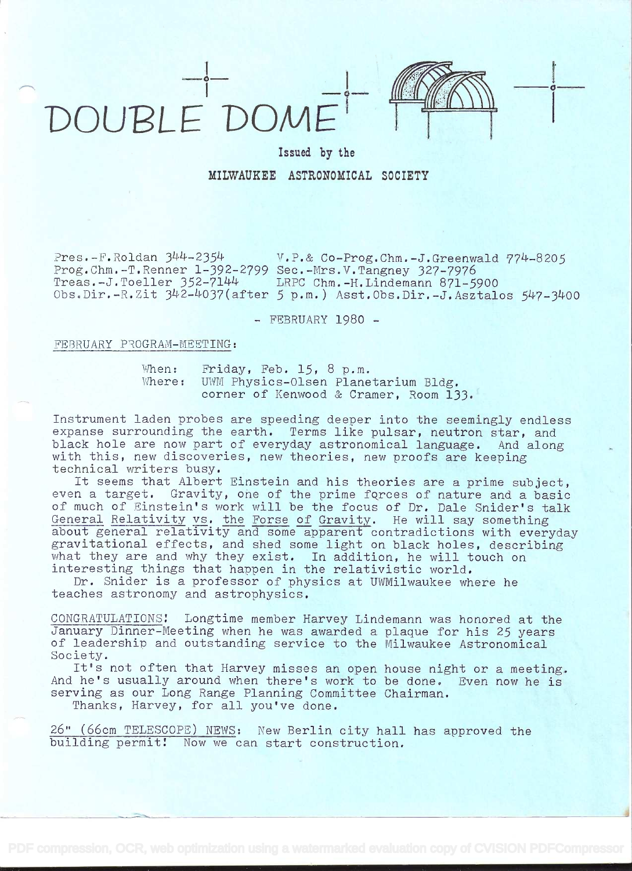



i kacamatan ing Kabupatén Ing Kabupatén Ing Kabupatén Ing Kabupatén Ing Kabupatén Ing Kabupatén Ing Kabupatén

## Issued by the MILWAUKEE ASTRONOMICAL SOCIETY

Pres. -F. Roldan  $344-2354$  V. P. & Co-Prog. Chm. -J. Greenwald  $774-8205$ Prog.Chm.-T.Renner 1-392-2799 Sec.-Mrs.V.Tangney 327-7976<br>Treas.-J.Toeller 352-7144 LRPC Chm.-H.Lindemann 871-59 LRPC Chm.-H.Lindemann 871-5900 Obs.Dir. $-R.Zit$  342-4037(after 5 p.m.) Asst.Obs.Dir. $-J.Asztalos$  547-3400

- FEBRUARY 1980 -

## FEBRUARY PROGRAM-MEETING:

When: Friday, Feb. 15, 8 p.m. Where: UWM Physics-Olsen Planetarium Bldg. corner of Kenwood & Cramer, Room 133.

Instrument laden probes are speeding deeper into the seemingly endless expanse surrounding the earth. Terms like pulsar, neutron star, and black hole are now part of everyday astronomical language. And along with this, new discoveries, new theories, new proofs are keeping technical writers busy.

It seems that Albert Einstein and his theories are a prime subject, even a target. Gravity, one of the prime forces of nature and a basic of much of Einstein's work will be the focus of Dr. Dale Snider's talk General Relativity vs. the Forse of Gravity. He will say something about general relativity and some apparent contradictions with everyday gravitational effects, and shed some light on black holes, describing what they are and why they exist. In addition, he will touch on interesting things that happen in the relativistic world.

Dr. Snider is a professor of physics at UWMilwaukee where he teaches astronomy and astrophysics.

CONGRATULATIONS! Longtime member Harvey Lindemann was honored at the January Dinner-Meeting when he was awarded a plaque for his 25 years of leadership and outstanding service to the Milwaukee Astronomical Society.

It's not often that Harvey misses an open house night or a meeting. And he's usually around when there's work to be done. Even now he is serving as our Long Range Planning Committee Chairman.

Thanks, Harvey, for all you've done.

26" (66cm TELESCOPE) NEWS: New Berlin city hall has approved the building permit: Now we can start construction.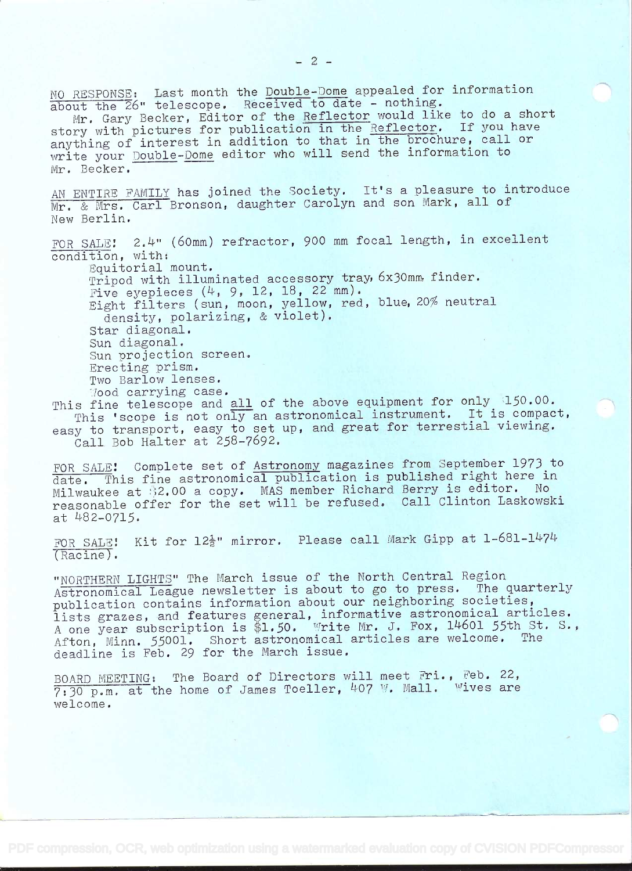NO RESPONSE: Last month the Double-Dome appealed for information about the 26" telescope. Received to date - nothing. Mr. Gary Becker, Editor of the Reflector would like to do a short

story with pictures for publication in the Reflector. If you have anything of interest in addition to that in the brochure, call or write your Double-Dome editor who will send the information to Mr. Becker.

AN ENTIRE FAMILY has joined the Society. It's a pleasure to introduce Mr. & Mrs. Carl Bronson, daughter Carolyn and son Mark, all of New Berlin.

FOR SALE: 2.4" (60mm) refractor, 900 mm focal length, in excellent condition, with:

Equitorial mount. Equitorial mount.<br>Tripod with illuminated accessory tray, 6x30mm finder. Five eyepieces  $(4, 9, 12, 18, 22$  mm). Five eyepleces (7, 9, 12, 10, 22 mm).<br>Eight filters (sun, moon, yellow, red, blue, 20% neutral density, polarizing, & violet).<br>Star diagonal. Sun diagonal. Sun projection screen. Erecting prism. Two Barlow lenses. 7ood carrying case.

This fine telescope and all of the above equipment for only 150.00. This 'scope is not only an astronomical instrument. It is compact, easy to transport, easy to set up, and great for terrestial viewing. Call Bob Halter at 258-7692.

FOR SALE: Complete set of Astronomy magazines from September 1973 to date. This fine astronomical publication is published right here in Milwaukee at \$2.00 a copy. MAS member Richard Berry is editor. No reasonable offer for the set will be refused. Call Clinton Laskowski at 482-0715.

FOR SALE! Kit for 12<sup>1</sup>" mirror. Please call Mark Gipp at 1-681-1474 (Racine).

"NORTHERN LIGHTS" The March issue of the North Central Region Astronomical League newsletter is about to go to press. The quarterly publication contains information about our neighboring societies, publication contains information about to go to press. The quarterly<br>publication contains information about our neighboring societies,<br>lists grazes, and features general, informative astronomical articles. The states, and reatures scherar, informative assessment of the S.,<br>A one year subscription is \$1.50. Write Mr. J. Fox, 14601 55th St. S., Afton, Minn. 55001. Short astronomical articles are welcome. The deadline is Feb. 29 for the March issue.

BOARD MEETING: The Board of Directors will meet Fri., Feb. 22,  $7:30$  p.m. at the home of James Toeller, 407 W. Mall. Wives are welcome.